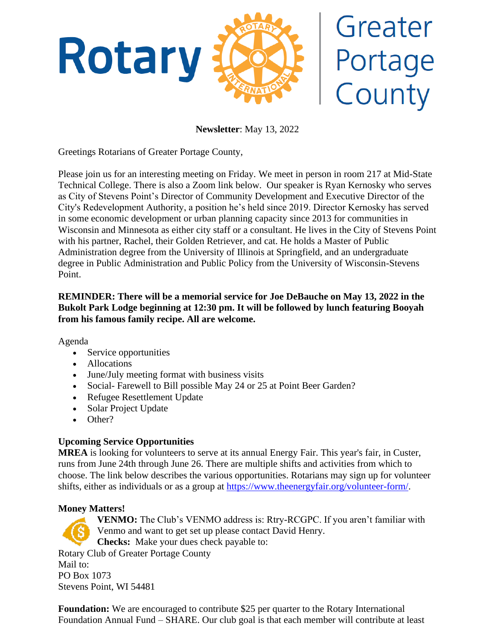

# Greater Portage<br>County

**Newsletter**: May 13, 2022

Greetings Rotarians of Greater Portage County,

Please join us for an interesting meeting on Friday. We meet in person in room 217 at Mid-State Technical College. There is also a Zoom link below. Our speaker is Ryan Kernosky who serves as City of Stevens Point's Director of Community Development and Executive Director of the City's Redevelopment Authority, a position he's held since 2019. Director Kernosky has served in some economic development or urban planning capacity since 2013 for communities in Wisconsin and Minnesota as either city staff or a consultant. He lives in the City of Stevens Point with his partner, Rachel, their Golden Retriever, and cat. He holds a Master of Public Administration degree from the University of Illinois at Springfield, and an undergraduate degree in Public Administration and Public Policy from the University of Wisconsin-Stevens Point.

# **REMINDER: There will be a memorial service for Joe DeBauche on May 13, 2022 in the Bukolt Park Lodge beginning at 12:30 pm. It will be followed by lunch featuring Booyah from his famous family recipe. All are welcome.**

Agenda

- Service opportunities
- Allocations
- June/July meeting format with business visits
- Social- Farewell to Bill possible May 24 or 25 at Point Beer Garden?
- Refugee Resettlement Update
- Solar Project Update
- Other?

# **Upcoming Service Opportunities**

**MREA** is looking for volunteers to serve at its annual Energy Fair. This year's fair, in Custer, runs from June 24th through June 26. There are multiple shifts and activities from which to choose. The link below describes the various opportunities. Rotarians may sign up for volunteer shifts, either as individuals or as a group at [https://www.theenergyfair.org/volunteer-form/.](https://www.theenergyfair.org/volunteer-form/)

# **Money Matters!**

**VENMO:** The Club's VENMO address is: Rtry-RCGPC. If you aren't familiar with Venmo and want to get set up please contact David Henry. **Checks:** Make your dues check payable to: Rotary Club of Greater Portage County Mail to: PO Box 1073 Stevens Point, WI 54481

**Foundation:** We are encouraged to contribute \$25 per quarter to the Rotary International Foundation Annual Fund – SHARE. Our club goal is that each member will contribute at least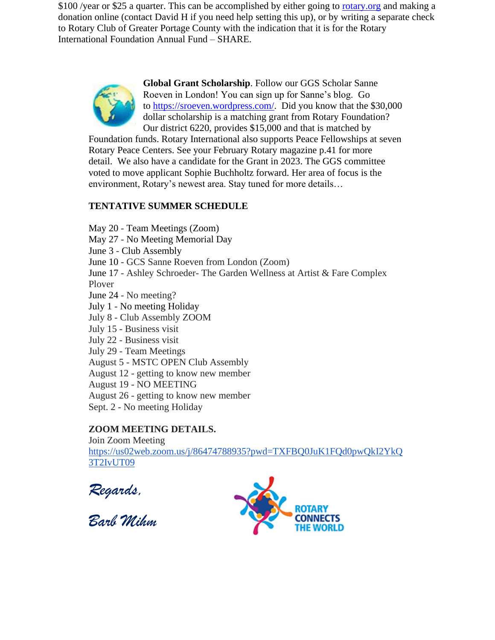\$100 /year or \$25 a quarter. This can be accomplished by either going to [rotary.org](http://rotary.org/) and making a donation online (contact David H if you need help setting this up), or by writing a separate check to Rotary Club of Greater Portage County with the indication that it is for the Rotary International Foundation Annual Fund – SHARE.



**Global Grant Scholarship**. Follow our GGS Scholar Sanne Roeven in London! You can sign up for Sanne's blog. Go to [https://sroeven.wordpress.com/.](https://sroeven.wordpress.com/) Did you know that the \$30,000 dollar scholarship is a matching grant from Rotary Foundation? Our district 6220, provides \$15,000 and that is matched by

Foundation funds. Rotary International also supports Peace Fellowships at seven Rotary Peace Centers. See your February Rotary magazine p.41 for more detail. We also have a candidate for the Grant in 2023. The GGS committee voted to move applicant Sophie Buchholtz forward. Her area of focus is the environment, Rotary's newest area. Stay tuned for more details…

# **TENTATIVE SUMMER SCHEDULE**

May 20 - Team Meetings (Zoom) May 27 - No Meeting Memorial Day June 3 - Club Assembly June 10 - GCS Sanne Roeven from London (Zoom) June 17 - Ashley Schroeder- The Garden Wellness at Artist & Fare Complex Plover June 24 - No meeting? July 1 - No meeting Holiday July 8 - Club Assembly ZOOM July 15 - Business visit July 22 - Business visit July 29 - Team Meetings August 5 - MSTC OPEN Club Assembly August 12 - getting to know new member August 19 - NO MEETING August 26 - getting to know new member Sept. 2 - No meeting Holiday

# **ZOOM MEETING DETAILS.**

Join Zoom Meeting [https://us02web.zoom.us/j/86474788935?pwd=TXFBQ0JuK1FQd0pwQkI2YkQ](https://us02web.zoom.us/j/86474788935?pwd=TXFBQ0JuK1FQd0pwQkI2YkQ3T2IvUT09) [3T2IvUT09](https://us02web.zoom.us/j/86474788935?pwd=TXFBQ0JuK1FQd0pwQkI2YkQ3T2IvUT09)

*Regards,*

*Barb Mihm*

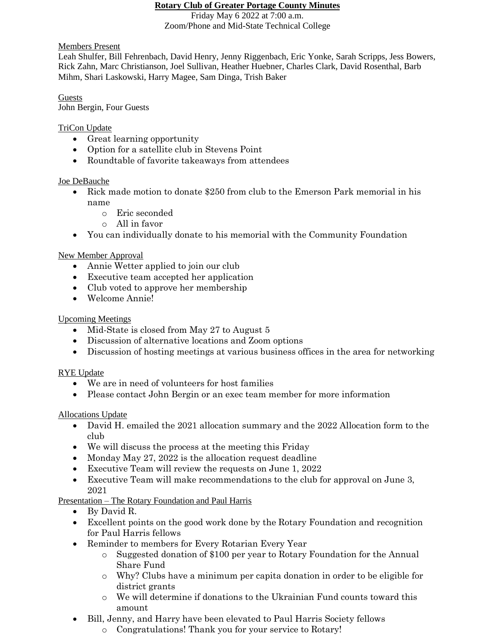### **Rotary Club of Greater Portage County Minutes**

Friday May 6 2022 at 7:00 a.m. Zoom/Phone and Mid-State Technical College

# Members Present

Leah Shulfer, Bill Fehrenbach, David Henry, Jenny Riggenbach, Eric Yonke, Sarah Scripps, Jess Bowers, Rick Zahn, Marc Christianson, Joel Sullivan, Heather Huebner, Charles Clark, David Rosenthal, Barb Mihm, Shari Laskowski, Harry Magee, Sam Dinga, Trish Baker

#### Guests John Bergin, Four Guests

TriCon Update

- Great learning opportunity
- Option for a satellite club in Stevens Point
- Roundtable of favorite takeaways from attendees

# Joe DeBauche

- Rick made motion to donate \$250 from club to the Emerson Park memorial in his name
	- o Eric seconded
	- o All in favor
- You can individually donate to his memorial with the Community Foundation

# New Member Approval

- Annie Wetter applied to join our club
- Executive team accepted her application
- Club voted to approve her membership
- Welcome Annie!

# Upcoming Meetings

- Mid-State is closed from May 27 to August 5
- Discussion of alternative locations and Zoom options
- Discussion of hosting meetings at various business offices in the area for networking

# RYE Update

- We are in need of volunteers for host families
- Please contact John Bergin or an exect eam member for more information

# Allocations Update

- David H. emailed the 2021 allocation summary and the 2022 Allocation form to the club
- We will discuss the process at the meeting this Friday
- Monday May 27, 2022 is the allocation request deadline
- Executive Team will review the requests on June 1, 2022
- Executive Team will make recommendations to the club for approval on June 3, 2021

# Presentation – The Rotary Foundation and Paul Harris

- By David R.
- Excellent points on the good work done by the Rotary Foundation and recognition for Paul Harris fellows
- Reminder to members for Every Rotarian Every Year
	- o Suggested donation of \$100 per year to Rotary Foundation for the Annual Share Fund
	- o Why? Clubs have a minimum per capita donation in order to be eligible for district grants
	- o We will determine if donations to the Ukrainian Fund counts toward this amount
- Bill, Jenny, and Harry have been elevated to Paul Harris Society fellows
	- o Congratulations! Thank you for your service to Rotary!